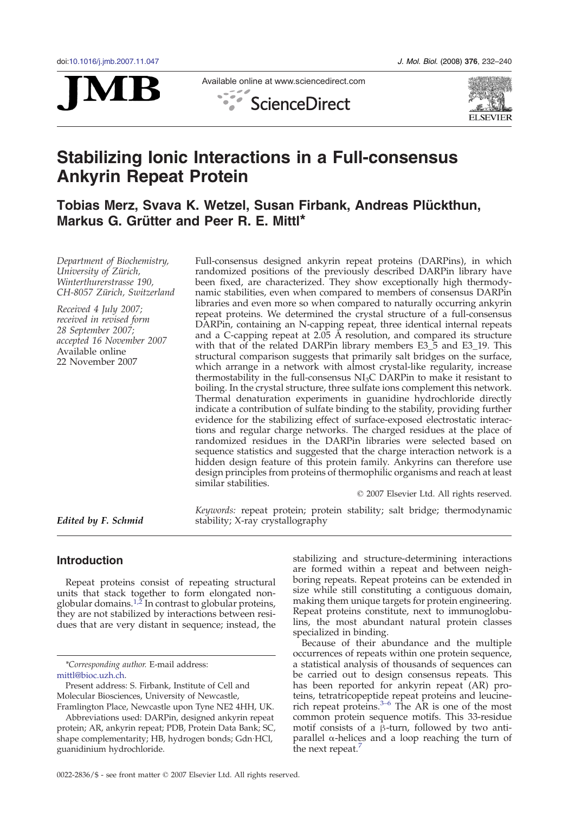



Available online at www.sciencedirect.com





# Stabilizing Ionic Interactions in a Full-consensus Ankyrin Repeat Protein

# Tobias Merz, Svava K. Wetzel, Susan Firbank, Andreas Plückthun, Markus G. Grütter and Peer R. E. Mittl\*

Department of Biochemistry, University of Zürich, Winterthurerstrasse 190, CH-8057 Zürich, Switzerland

Received 4 July 2007; received in revised form 28 September 2007; accepted 16 November 2007 Available online 22 November 2007

Full-consensus designed ankyrin repeat proteins (DARPins), in which randomized positions of the previously described DARPin library have been fixed, are characterized. They show exceptionally high thermodynamic stabilities, even when compared to members of consensus DARPin libraries and even more so when compared to naturally occurring ankyrin repeat proteins. We determined the crystal structure of a full-consensus DARPin, containing an N-capping repeat, three identical internal repeats and a C-capping repeat at  $2.05$  Å resolution, and compared its structure with that of the related DARPin library members E3\_5 and E3\_19. This structural comparison suggests that primarily salt bridges on the surface, which arrange in a network with almost crystal-like regularity, increase thermostability in the full-consensus  $NI<sub>3</sub>C$  DARPin to make it resistant to boiling. In the crystal structure, three sulfate ions complement this network. Thermal denaturation experiments in guanidine hydrochloride directly indicate a contribution of sulfate binding to the stability, providing further evidence for the stabilizing effect of surface-exposed electrostatic interactions and regular charge networks. The charged residues at the place of randomized residues in the DARPin libraries were selected based on sequence statistics and suggested that the charge interaction network is a hidden design feature of this protein family. Ankyrins can therefore use design principles from proteins of thermophilic organisms and reach at least similar stabilities.

© 2007 Elsevier Ltd. All rights reserved.

Edited by F. Schmid

Keywords: repeat protein; protein stability; salt bridge; thermodynamic stability; X-ray crystallography

# Introduction

Repeat proteins consist of repeating structural units that stack together to form elongated non-globular domains.<sup>[1,2](#page-7-0)</sup> In contrast to globular proteins, they are not stabilized by interactions between residues that are very distant in sequence; instead, the

\*Corresponding author. E-mail address: mittl@bioc.uzh.ch.

stabilizing and structure-determining interactions are formed within a repeat and between neighboring repeats. Repeat proteins can be extended in size while still constituting a contiguous domain, making them unique targets for protein engineering. Repeat proteins constitute, next to immunoglobulins, the most abundant natural protein classes specialized in binding.

Because of their abundance and the multiple occurrences of repeats within one protein sequence, a statistical analysis of thousands of sequences can be carried out to design consensus repeats. This has been reported for ankyrin repeat (AR) proteins, tetratricopepti[de](#page-7-0) repeat proteins and leucinerich repeat proteins.<sup>3–6</sup> The AR is one of the most common protein sequence motifs. This 33-residue motif consists of a β-turn, followed by two antiparallel α-helices and a loop reaching the turn of the next repeat.

Present address: S. Firbank, Institute of Cell and Molecular Biosciences, University of Newcastle, Framlington Place, Newcastle upon Tyne NE2 4HH, UK.

Abbreviations used: DARPin, designed ankyrin repeat protein; AR, ankyrin repeat; PDB, Protein Data Bank; SC, shape complementarity; HB, hydrogen bonds; Gdn·HCl, guanidinium hydrochloride.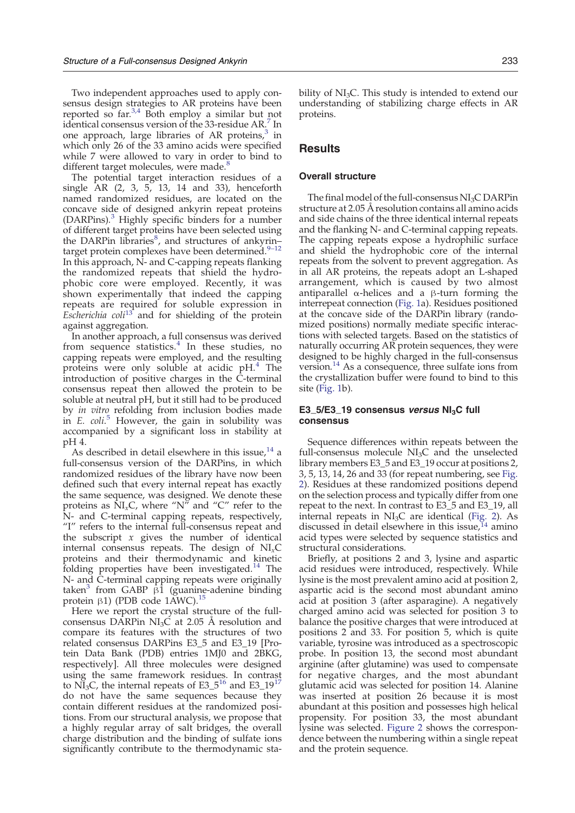Two independent approaches used to apply consensus design strategies to AR proteins have been reported so far. $3.4$  Both employ a similar but not identical consensus version of the 33-residue AR[.](#page-7-0)<sup>[7](#page-7-0)</sup> In one approach, large libraries of AR proteins,<sup>[3](#page-7-0)</sup> in which only 26 of the 33 amino acids were specified while 7 were allowed to vary in order to bind to different target molecules, were made[.](#page-7-0)<sup>[8](#page-7-0)</sup>

The potential target interaction residues of a single AR (2, 3, 5, 13, 14 and 33), henceforth named randomized residues, are located on the concave side of designed ankyrin repeat proteins  $(DARPins).$ <sup>[3](#page-7-0)</sup> Highly specific binders for a number of different target proteins have been selected using the DARPin libraries $\delta$ , and structures of ankyrin– target protein complexes have been determined[.](#page-7-0) $9-12$  $9-12$ In this approach, N- and C-capping repeats flanking the randomized repeats that shield the hydrophobic core were employed. Recently, it was shown experimentally that indeed the capping repeats are required for soluble expression in Escherichia coli<sup>[13](#page-7-0)</sup> and for shielding of the protein against aggregation.

In another approach, a full consensus was derived from sequence statistics. $4$  In these studies, no capping repeats were employed, and the resulting proteins were only soluble at acidic pH.<sup>[4](#page-7-0)</sup> The introduction of positive charges in the C-terminal consensus repeat then allowed the protein to be soluble at neutral pH, but it still had to be produced by *in vitro* refolding from inclusion bodies made in E. coli.<sup>[5](#page-7-0)</sup> However, the gain in solubility was accompanied by a significant loss in stability at pH 4.

As described in detail elsewhere in this issue,  $14$  a full-consensus version of the DARPins, in which randomized residues of the library have now been defined such that every internal repeat has exactly the same sequence, was designed. We denote these proteins as  $NI_xC$ , where "N" and "C" refer to the N- and C-terminal capping repeats, respectively, "I" refers to the internal full-consensus repeat and the subscript  $x$  gives the number of identical internal consensus repeats. The design of  $NI_xC$ proteins and their thermodynamic and kinetic folding properties have been investigated.<sup>[14](#page-7-0)</sup> The N- and C-terminal capping repeats were originally taken<sup>[3](#page-7-0)</sup> from GABP  $\beta$ 1 (guanine-adenine binding protein β1) (PDB code 1AWC)[.](#page-7-0)<sup>[15](#page-7-0)</sup>

Here we report the crystal structure of the fullconsensus DARPin NI<sub>3</sub>C at 2.05 Å resolution and compare its features with the structures of two related consensus DARPins E3\_5 and E3\_19 [Protein Data Bank (PDB) entries 1MJ0 and 2BKG, respectively]. All three molecules were designed using the same framework residues. In contrast to  $N_{3}C$ , the internal repeats of E3\_5<sup>[16](#page-7-0)</sup> and E3\_19<sup>[17](#page-7-0)</sup> do not have the same sequences because they contain different residues at the randomized positions. From our structural analysis, we propose that a highly regular array of salt bridges, the overall charge distribution and the binding of sulfate ions significantly contribute to the thermodynamic stability of  $NI<sub>3</sub>C$ . This study is intended to extend our understanding of stabilizing charge effects in AR proteins.

# **Results**

# Overall structure

The final model of the full-consensus NI3C DARPin structure at 2.05 Å resolution contains all amino acids and side chains of the three identical internal repeats and the flanking N- and C-terminal capping repeats. The capping repeats expose a hydrophilic surface and shield the hydrophobic core of the internal repeats from the solvent to prevent aggregation. As in all AR proteins, the repeats adopt an L-shaped arrangement, which is caused by two almost antiparallel α-helices and a β-turn forming the interrepeat connection [\(Fig. 1](#page-2-0)a). Residues positioned at the concave side of the DARPin library (randomized positions) normally mediate specific interactions with selected targets. Based on the statistics of naturally occurring AR protein sequences, they were designed to be highly charged in the full-consensus version.[14](#page-7-0) As a consequence, three sulfate ions from the crystallization buffer were found to bind to this site [\(Fig. 1](#page-2-0)b).

#### E3\_5/E3\_19 consensus versus  $Nl<sub>3</sub>C$  full consensus

Sequence differences within repeats between the full-consensus molecule  $NI<sub>3</sub>C$  and the unselected library members E3\_5 and E3\_19 occur at positions 2, 3, 5, 13, 14, 26 and 33 (for repeat numbering, see [Fig.](#page-2-0) [2\)](#page-2-0). Residues at these randomized positions depend on the selection process and typically differ from one repeat to the next. In contrast to E3\_5 and E3\_19, all internal repeats in  $NI<sub>3</sub>C$  are identical [\(Fig. 2](#page-2-0)). As discussed in detail elsewhere in this issue,  $14$  amino acid types were selected by sequence statistics and structural considerations.

Briefly, at positions 2 and 3, lysine and aspartic acid residues were introduced, respectively. While lysine is the most prevalent amino acid at position 2, aspartic acid is the second most abundant amino acid at position 3 (after asparagine). A negatively charged amino acid was selected for position 3 to balance the positive charges that were introduced at positions 2 and 33. For position 5, which is quite variable, tyrosine was introduced as a spectroscopic probe. In position 13, the second most abundant arginine (after glutamine) was used to compensate for negative charges, and the most abundant glutamic acid was selected for position 14. Alanine was inserted at position 26 because it is most abundant at this position and possesses high helical propensity. For position 33, the most abundant lysine was selected. [Figure 2](#page-2-0) shows the correspondence between the numbering within a single repeat and the protein sequence.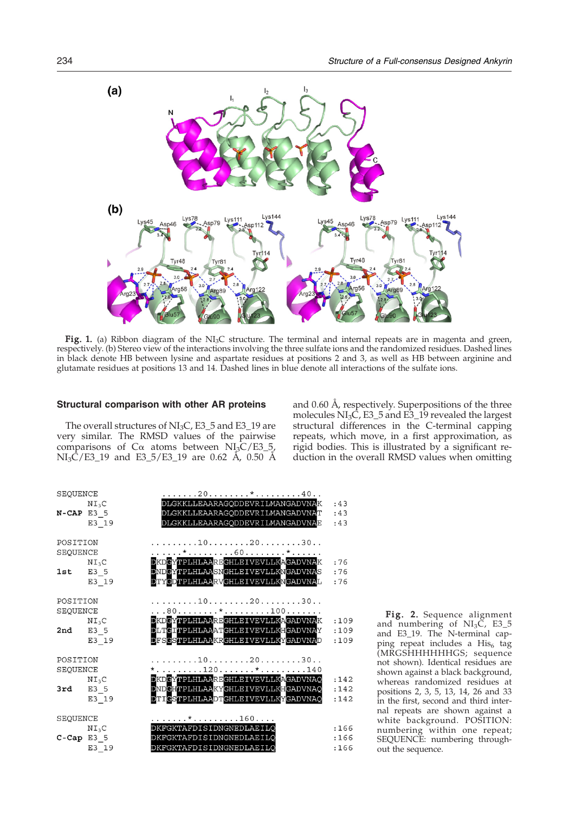<span id="page-2-0"></span>

Fig. 1. (a) Ribbon diagram of the  $NI<sub>3</sub>C$  structure. The terminal and internal repeats are in magenta and green, respectively. (b) Stereo view of the interactions involving the three sulfate ions and the randomized residues. Dashed lines in black denote HB between lysine and aspartate residues at positions 2 and 3, as well as HB between arginine and glutamate residues at positions 13 and 14. Dashed lines in blue denote all interactions of the sulfate ions.

#### Structural comparison with other AR proteins

The overall structures of  $NI<sub>3</sub>C$ , E3\_5 and E3\_19 are very similar. The RMSD values of the pairwise comparisons of  $C\alpha$  atoms between NI<sub>3</sub>C/E3\_5,  $NI_3\tilde{C}/E3_19$  and E3\_5/E3\_19 are 0.62 Å, 0.50 Å

| SEQUENCE     |                   | . 20 * 40                                                          |      |
|--------------|-------------------|--------------------------------------------------------------------|------|
|              | $N I_3 C$         | DLGKKLLEAARAGODDEVRILMANGADVNAK                                    | :43  |
| $N-CAP E3 5$ |                   | DLGKKLLEAARAGODDEVRILMANGADVNAT                                    | :43  |
|              | $E3_19$           | DLGKKLLEAARAGODDEVRILMANGADVNAE                                    | :43  |
| POSITION     |                   | . 10 20 30                                                         |      |
| SEQUENCE     |                   | . * 60 *                                                           |      |
|              | $N I_3 C$         | DKDGYTPLHLAAREGHLEIVEVLLKAGADVNAK                                  | :76  |
| $1st$ E3 5   |                   | DNDGYTPLHLAASNGHLEIVEVLLKNGADVNAS                                  | :76  |
|              | E3_19             | DTYCDTPLHLAARVGHLEIVEVLLKNGADVNAL                                  | :76  |
| POSITION     |                   | 102030                                                             |      |
| SEQUENCE     |                   | . 80 * 100                                                         |      |
|              | $N I_3 C$         | DKDGYTPLHLAAREGHLEIVEVLLKAGADVNAK                                  | :109 |
| 2nd E3 5     |                   | DLTGITPLHLAAATGHLEIVEVLLKHGADVNAY                                  | :109 |
|              | E3 19             | DFSGSTPLHLAAKRGHLEIVEVLLKYGADVNAD                                  | :109 |
| POSITION     |                   | $\ldots \ldots \ldots 10 \ldots \ldots 20 \ldots \ldots 30 \ldots$ |      |
| SEQUENCE     |                   | *120*140                                                           |      |
|              | $N I_3 C$         | DKDGYTPLHLAAREGHLEIVEVLLKAGADVNAQ                                  | :142 |
| $3rd$ E3 5   |                   | DNDGHTPLHLAAKYGHLEIVEVLLKHGADVNAQ                                  | :142 |
|              | $E3_19$           | DTICSTPLHLAADTGHLEIVEVLLKYGADVNAQ                                  | :142 |
| SEQUENCE     |                   | . * 160                                                            |      |
|              | NI <sub>3</sub> C | DKFGKTAFDISIDNGNEDLAEILO                                           | :166 |
| $C-Cap E3 5$ |                   | DKFGKTAFDISIDNGNEDLAEILO                                           | :166 |
|              | E3 19             | DKFGKTAFDISIDNGNEDLAEILO                                           | :166 |

Fig. 2. Sequence alignment and numbering of  $NI_3C$ , E3\_5 and E3\_19. The N-terminal capping repeat includes a  $His<sub>6</sub>$  tag (MRGSHHHHHHGS; sequence not shown). Identical residues are shown against a black background, whereas randomized residues at positions 2, 3, 5, 13, 14, 26 and 33 in the first, second and third internal repeats are shown against a white background. POSITION: numbering within one repeat; SEQUENCE: numbering throughout the sequence.

and 0.60 Å, respectively. Superpositions of the three molecules  $NI<sub>3</sub>C$ , E3\_5 and E3\_19 revealed the largest structural differences in the C-terminal capping repeats, which move, in a first approximation, as rigid bodies. This is illustrated by a significant reduction in the overall RMSD values when omitting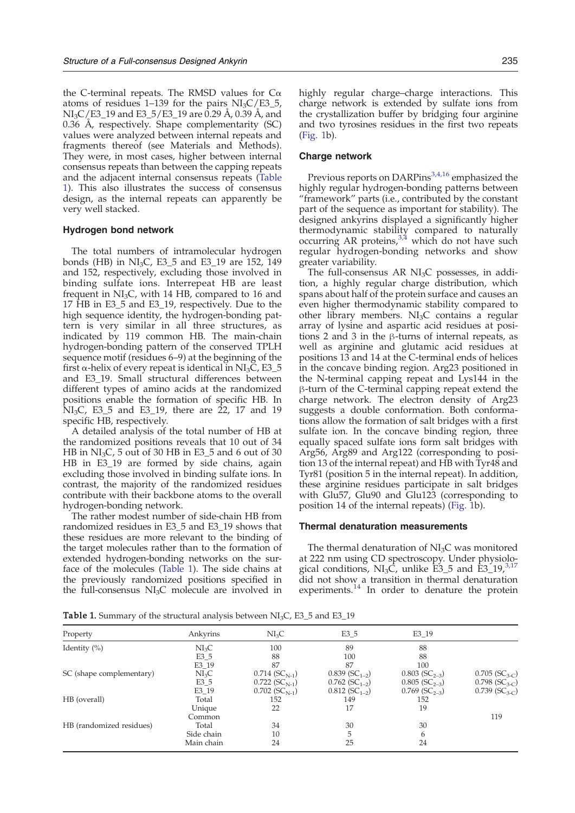<span id="page-3-0"></span>the C-terminal repeats. The RMSD values for  $C<sub>α</sub>$ atoms of residues  $1-139$  for the pairs NI<sub>3</sub>C/E3\_5,  $NI<sub>3</sub>C/ES<sub>-</sub>19$  and E3<sub>-5</sub>/E3<sub>-19</sub> are 0.29 Å, 0.39 Å, and 0.36 Å, respectively. Shape complementarity (SC) values were analyzed between internal repeats and fragments thereof (see Materials and Methods). They were, in most cases, higher between internal consensus repeats than between the capping repeats and the adjacent internal consensus repeats (Table 1). This also illustrates the success of consensus design, as the internal repeats can apparently be very well stacked.

#### Hydrogen bond network

The total numbers of intramolecular hydrogen bonds (HB) in NI<sub>3</sub>C, E3 $5$  and E3 $19$  are 152, 149 and 152, respectively, excluding those involved in binding sulfate ions. Interrepeat HB are least frequent in  $NI<sub>3</sub>C$ , with 14 HB, compared to 16 and 17 HB in E3\_5 and E3\_19, respectively. Due to the high sequence identity, the hydrogen-bonding pattern is very similar in all three structures, as indicated by 119 common HB. The main-chain hydrogen-bonding pattern of the conserved TPLH sequence motif (residues 6–9) at the beginning of the first  $\alpha$ -helix of every repeat is identical in NI<sub>3</sub>C, E3\_5 and E3\_19. Small structural differences between different types of amino acids at the randomized positions enable the formation of specific HB. In  $\text{NI}_3\text{C}$ , E3\_5 and E3\_19, there are 22, 17 and 19 specific HB, respectively.

A detailed analysis of the total number of HB at the randomized positions reveals that 10 out of 34 HB in  $NI<sub>3</sub>C$ , 5 out of 30 HB in E3\_5 and 6 out of 30 HB in E3\_19 are formed by side chains, again excluding those involved in binding sulfate ions. In contrast, the majority of the randomized residues contribute with their backbone atoms to the overall hydrogen-bonding network.

The rather modest number of side-chain HB from randomized residues in E3\_5 and E3\_19 shows that these residues are more relevant to the binding of the target molecules rather than to the formation of extended hydrogen-bonding networks on the surface of the molecules (Table 1). The side chains at the previously randomized positions specified in the full-consensus  $NI<sub>3</sub>C$  molecule are involved in

highly regular charge–charge interactions. This charge network is extended by sulfate ions from the crystallization buffer by bridging four arginine and two tyrosines residues in the first two repeats ([Fig. 1b](#page-2-0)).

#### Charge network

Previous reports on DARPins $3,4,16$  emphasized the highly regular hydrogen-bonding patterns between "framework" parts (i.e., contributed by the constant part of the sequence as important for stability). The designed ankyrins displayed a significantly higher thermodynamic stability compared to naturally occurring AR proteins,  $3,4$  which do not have such regular hydrogen-bonding networks and show greater variability.

The full-consensus AR  $NI<sub>3</sub>C$  possesses, in addition, a highly regular charge distribution, which spans about half of the protein surface and causes an even higher thermodynamic stability compared to other library members.  $NI<sub>3</sub>C$  contains a regular array of lysine and aspartic acid residues at positions 2 and 3 in the β-turns of internal repeats, as well as arginine and glutamic acid residues at positions 13 and 14 at the C-terminal ends of helices in the concave binding region. Arg23 positioned in the N-terminal capping repeat and Lys144 in the β-turn of the C-terminal capping repeat extend the charge network. The electron density of Arg23 suggests a double conformation. Both conformations allow the formation of salt bridges with a first sulfate ion. In the concave binding region, three equally spaced sulfate ions form salt bridges with Arg56, Arg89 and Arg122 (corresponding to position 13 of the internal repeat) and HB with Tyr48 and Tyr81 (position 5 in the internal repeat). In addition, these arginine residues participate in salt bridges with Glu57, Glu90 and Glu123 (corresponding to position 14 of the internal repeats) [\(Fig. 1](#page-2-0)b).

#### Thermal denaturation measurements

The thermal denaturation of  $NI<sub>3</sub>C$  was monitored at 222 nm using CD spectroscopy. Under physiological conditions, NI<sub>3</sub>C, unlike  $\text{E}3\_5$  and  $\text{E}3\_19$ ,<sup>[3,17](#page-7-0)</sup> did not show a transition in thermal denaturation experiments.<sup>[14](#page-7-0)</sup> In order to denature the protein

Table 1. Summary of the structural analysis between  $NI<sub>3</sub>C$ , E3\_5 and E3\_19

| Property                 | Ankyrins          | NI <sub>3</sub> C            | $E3-5$                       | E3 19                        |                              |
|--------------------------|-------------------|------------------------------|------------------------------|------------------------------|------------------------------|
| Identity $(\%)$          | NI <sub>3</sub> C | 100                          | 89                           | 88                           |                              |
|                          | $E3-5$            | 88                           | 100                          | 88                           |                              |
|                          | E3_19             | 87                           | 87                           | 100                          |                              |
| SC (shape complementary) | NI <sub>3</sub> C | $0.714$ (SC <sub>N-1</sub> ) | $0.839$ (SC <sub>1-2</sub> ) | $0.803$ (SC <sub>2-3</sub> ) | $0.705$ (SC <sub>3-C</sub> ) |
|                          | E3 5              | $0.722$ (SC <sub>N-1</sub> ) | $0.762$ (SC <sub>1-2</sub> ) | $0.805$ (SC <sub>2-3</sub> ) | $0.798$ (SC <sub>3-C</sub> ) |
|                          | E3_19             | $0.702$ (SC <sub>N-1</sub> ) | $0.812$ (SC <sub>1-2</sub> ) | $0.769$ (SC <sub>2-3</sub> ) | $0.739$ (SC <sub>3-C</sub> ) |
| HB (overall)             | Total             | 152                          | 149                          | 152                          |                              |
|                          | Unique            | 22                           | 17                           | 19                           |                              |
|                          | Common            |                              |                              |                              | 119                          |
| HB (randomized residues) | Total             | 34                           | 30                           | 30                           |                              |
|                          | Side chain        | 10                           |                              | 6                            |                              |
|                          | Main chain        | 24                           | 25                           | 24                           |                              |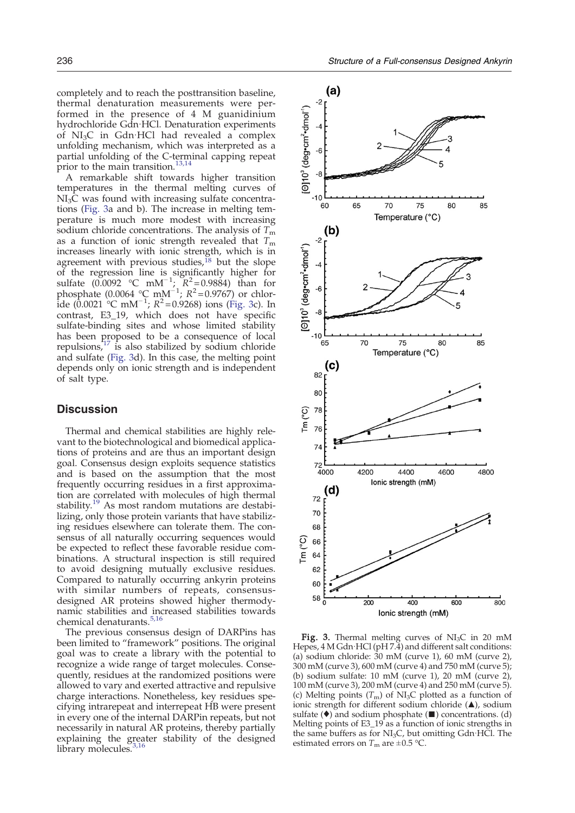completely and to reach the posttransition baseline, thermal denaturation measurements were performed in the presence of 4 M guanidinium hydrochloride Gdn·HCl. Denaturation experiments of NI3C in Gdn·HCl had revealed a complex unfolding mechanism, which was interpreted as a partial unfolding of the C-terminal capping repeat prior to the main transition.<sup>[13,14](#page-7-0)</sup>

A remarkable shift towards higher transition temperatures in the thermal melting curves of  $NI<sub>3</sub>C$  was found with increasing sulfate concentrations (Fig. 3a and b). The increase in melting temperature is much more modest with increasing sodium chloride concentrations. The analysis of  $T<sub>m</sub>$ as a function of ionic strength revealed that  $T_{\rm m}$ increases linearly with ionic strength, which is in agreement with previous studies, $^{18}$  $^{18}$  $^{18}$  but the slope of the regression line is significantly higher for sulfate  $(0.0092 \text{ °C} \text{ mM}^{-1}$ ;  $R^2 = 0.9884$ ) than for phosphate (0.0064 °C mM<sup>-1</sup>;  $R^2 = 0.9767$ ) or chlor- $\frac{1}{2}$ ide (0.0021 °C mM<sup>−1</sup>; R<sup>2</sup>=0.9268) ions (Fig. 3c). In contrast, E3\_19, which does not have specific sulfate-binding sites and whose limited stability has been proposed to be a consequence of local repulsions, $17$  is also stabilized by sodium chloride and sulfate (Fig. 3d). In this case, the melting point depends only on ionic strength and is independent of salt type.

# **Discussion**

Thermal and chemical stabilities are highly relevant to the biotechnological and biomedical applications of proteins and are thus an important design goal. Consensus design exploits sequence statistics and is based on the assumption that the most frequently occurring residues in a first approximation are correlated with molecules of high thermal stability.<sup>[19](#page-7-0)</sup> As most random mutations are destabilizing, only those protein variants that have stabilizing residues elsewhere can tolerate them. The consensus of all naturally occurring sequences would be expected to reflect these favorable residue combinations. A structural inspection is still required to avoid designing mutually exclusive residues. Compared to naturally occurring ankyrin proteins with similar numbers of repeats, consensusdesigned AR proteins showed higher thermodynamic stabilities and increased stabilities towards chemical denaturants[.](#page-7-0)<sup>[5,16](#page-7-0)</sup>

The previous consensus design of DARPins has been limited to "framework" positions. The original goal was to create a library with the potential to recognize a wide range of target molecules. Consequently, residues at the randomized positions were allowed to vary and exerted attractive and repulsive charge interactions. Nonetheless, key residues specifying intrarepeat and interrepeat HB were present in every one of the internal DARPin repeats, but not necessarily in natural AR proteins, thereby partially explaining the greater stability of the designed library molecules.<sup>[3,16](#page-7-0)</sup>



Fig. 3. Thermal melting curves of  $NI<sub>3</sub>C$  in 20 mM Hepes, 4 M Gdn·HCl (pH 7.4) and different salt conditions: (a) sodium chloride: 30 mM (curve 1), 60 mM (curve 2), 300 mM (curve 3), 600 mM (curve 4) and 750 mM (curve 5); (b) sodium sulfate: 10 mM (curve 1), 20 mM (curve 2), 100 mM (curve 3), 200 mM (curve 4) and 250 mM (curve 5). (c) Melting points  $(T_m)$  of NI<sub>3</sub>C plotted as a function of ionic strength for different sodium chloride (▴), sodium sulfate ( $\bullet$ ) and sodium phosphate ( $\blacksquare$ ) concentrations. (d)<br>Sulfate ( $\bullet$ ) and sodium phosphate ( $\blacksquare$ ) concentrations. (d)<br>Melting points of E3\_19 as a function of ionic strengths in the same buffers as for  $NI<sub>3</sub>C$ , but omitting Gdn HCl. The estimated errors on  $T_m$  are  $\pm 0.5$  °C.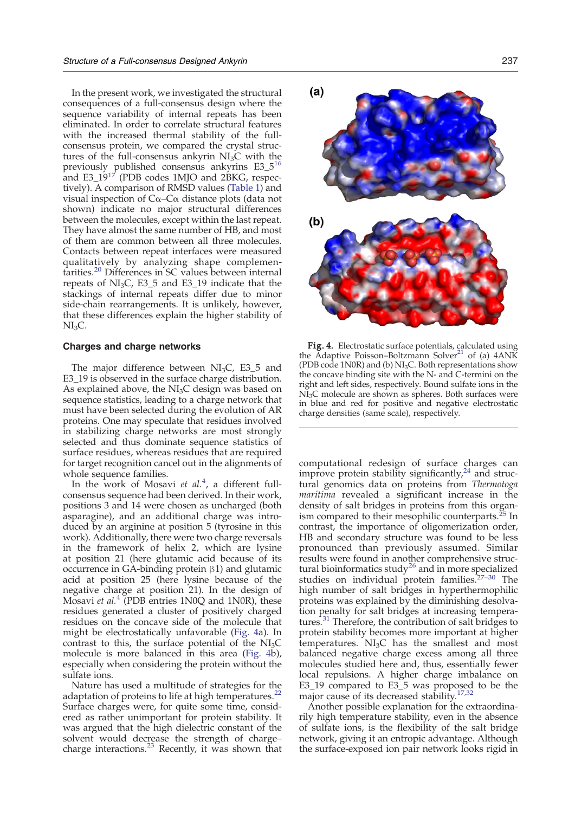<span id="page-5-0"></span>In the present work, we investigated the structural consequences of a full-consensus design where the sequence variability of internal repeats has been eliminated. In order to correlate structural features with the increased thermal stability of the fullconsensus protein, we compared the crystal structures of the full-consensus ankyrin  $NI<sub>3</sub>C$  with the previously published consensus ankyrins E3\_5<sup>[16](#page-7-0)</sup> and  $E3\_19^{17}$  $E3\_19^{17}$  $E3\_19^{17}$  (PDB codes 1MJO and 2BKG, respectively). A comparison of RMSD values ([Table 1](#page-3-0)) and visual inspection of Cα–Cα distance plots (data not shown) indicate no major structural differences between the molecules, except within the last repeat. They have almost the same number of HB, and most of them are common between all three molecules. Contacts between repeat interfaces were measured qualitatively by analyzing shape complemen-tarities[.](#page-7-0)<sup>[20](#page-7-0)</sup> Differences in SC values between internal repeats of  $NI<sub>3</sub>C$ , E3\_5 and E3\_19 indicate that the stackings of internal repeats differ due to minor side-chain rearrangements. It is unlikely, however, that these differences explain the higher stability of  $NI<sub>3</sub>C$ .

#### Charges and charge networks

The major difference between  $NI<sub>3</sub>C$ , E3\_5 and E3\_19 is observed in the surface charge distribution. As explained above, the  $NI<sub>3</sub>C$  design was based on sequence statistics, leading to a charge network that must have been selected during the evolution of AR proteins. One may speculate that residues involved in stabilizing charge networks are most strongly selected and thus dominate sequence statistics of surface residues, whereas residues that are required for target recognition cancel out in the alignments of whole sequence families.

In the work of Mosavi et  $al.4$  $al.4$ , a different fullconsensus sequence had been derived. In their work, positions 3 and 14 were chosen as uncharged (both asparagine), and an additional charge was introduced by an arginine at position 5 (tyrosine in this work). Additionally, there were two charge reversals in the framework of helix 2, which are lysine at position 21 (here glutamic acid because of its occurrence in GA-binding protein β1) and glutamic acid at position 25 (here lysine because of the negative charge at position 21). In the design of Mosavi et al. $4$ <sup>T</sup> (PDB entries 1N0Q and 1N0R), these residues generated a cluster of positively charged residues on the concave side of the molecule that might be electrostatically unfavorable (Fig. 4a). In contrast to this, the surface potential of the  $NI<sub>3</sub>C$ molecule is more balanced in this area (Fig. 4b), especially when considering the protein without the sulfate ions.

Nature has used a multitude of strategies for the adaptation of proteins to life at high temperatures. $^{22}$  $^{22}$  $^{22}$ Surface charges were, for quite some time, considered as rather unimportant for protein stability. It was argued that the high dielectric constant of the solvent would decrease the strength of charge– charge interactions. $^{23}$  $^{23}$  $^{23}$  Recently, it was shown that



Fig. 4. Electrostatic surface potentials, calculated using the Adaptive Poisson–Boltzmann Solver<sup>[21](#page-8-0)</sup> of (a)  $4ANK$ (PDB code 1N0R) and (b)  $NI<sub>3</sub>C$ . Both representations show the concave binding site with the N- and C-termini on the right and left sides, respectively. Bound sulfate ions in the NI<sub>3</sub>C molecule are shown as spheres. Both surfaces were in blue and red for positive and negative electrostatic charge densities (same scale), respectively.

computational redesign of surface charges can improve protein stability significantly, $24$  and structural genomics data on proteins from Thermotoga maritima revealed a significant increase in the density of salt bridges in proteins from this organ-ism compared to their mesophilic counterparts.<sup>[25](#page-8-0)</sup> In contrast, the importance of oligomerization order, HB and secondary structure was found to be less pronounced than previously assumed. Similar results were found in another comprehensive struc-tural bioinformatics study<sup>[26](#page-8-0)</sup> and in more specialized studies on individual protein families.[27](#page-8-0)–<sup>30</sup> The high number of salt bridges in hyperthermophilic proteins was explained by the diminishing desolvation penalty for salt bridges at increasing tempera-tures.<sup>[31](#page-8-0)</sup> Therefore, the contribution of salt bridges to protein stability becomes more important at higher temperatures. NI<sub>3</sub>C has the smallest and most balanced negative charge excess among all three molecules studied here and, thus, essentially fewer local repulsions. A higher charge imbalance on E3\_19 compared to E3\_5 was proposed to be the major cause of its decreased stability.<sup>[17,32](#page-7-0)</sup>

Another possible explanation for the extraordinarily high temperature stability, even in the absence of sulfate ions, is the flexibility of the salt bridge network, giving it an entropic advantage. Although the surface-exposed ion pair network looks rigid in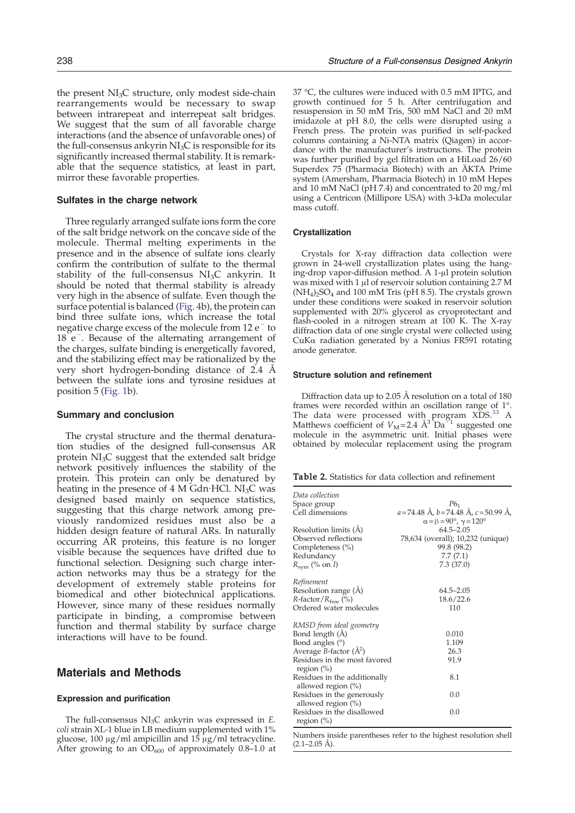<span id="page-6-0"></span>the present  $NI<sub>3</sub>C$  structure, only modest side-chain rearrangements would be necessary to swap between intrarepeat and interrepeat salt bridges. We suggest that the sum of all favorable charge interactions (and the absence of unfavorable ones) of the full-consensus ankyrin  $NI<sub>3</sub>C$  is responsible for its significantly increased thermal stability. It is remarkable that the sequence statistics, at least in part, mirror these favorable properties.

#### Sulfates in the charge network

Three regularly arranged sulfate ions form the core of the salt bridge network on the concave side of the molecule. Thermal melting experiments in the presence and in the absence of sulfate ions clearly confirm the contribution of sulfate to the thermal stability of the full-consensus  $NI<sub>3</sub>C$  ankyrin. It should be noted that thermal stability is already very high in the absence of sulfate. Even though the surface potential is balanced [\(Fig. 4b](#page-5-0)), the protein can bind three sulfate ions, which increase the total negative charge excess of the molecule from 12 e<sup>−</sup> to 18 e<sup>-</sup>. Because of the alternating arrangement of the charges, sulfate binding is energetically favored, and the stabilizing effect may be rationalized by the very short hydrogen-bonding distance of 2.4 Å between the sulfate ions and tyrosine residues at position 5 ([Fig. 1b](#page-2-0)).

#### Summary and conclusion

The crystal structure and the thermal denaturation studies of the designed full-consensus AR protein  $NI<sub>3</sub>C$  suggest that the extended salt bridge network positively influences the stability of the protein. This protein can only be denatured by heating in the presence of  $4 \text{ M }$  Gdn HCl. NI<sub>3</sub>C was designed based mainly on sequence statistics, suggesting that this charge network among previously randomized residues must also be a hidden design feature of natural ARs. In naturally occurring AR proteins, this feature is no longer visible because the sequences have drifted due to functional selection. Designing such charge interaction networks may thus be a strategy for the development of extremely stable proteins for biomedical and other biotechnical applications. However, since many of these residues normally participate in binding, a compromise between function and thermal stability by surface charge interactions will have to be found.

# Materials and Methods

#### Expression and purification

The full-consensus  $NI<sub>3</sub>C$  ankyrin was expressed in E. coli strain XL-1 blue in LB medium supplemented with 1% glucose, 100 μg/ml ampicillin and  $15$  μg/ml tetracycline. After growing to an  $OD_{600}$  of approximately 0.8–1.0 at

37 °C, the cultures were induced with 0.5 mM IPTG, and growth continued for 5 h. After centrifugation and resuspension in 50 mM Tris, 500 mM NaCl and 20 mM imidazole at pH 8.0, the cells were disrupted using a French press. The protein was purified in self-packed columns containing a Ni-NTA matrix (Qiagen) in accordance with the manufacturer's instructions. The protein was further purified by gel filtration on a HiLoad 26/60 Superdex 75 (Pharmacia Biotech) with an ÄKTA Prime system (Amersham, Pharmacia Biotech) in 10 mM Hepes and 10 mM NaCl (pH 7.4) and concentrated to 20 mg/ml using a Centricon (Millipore USA) with 3-kDa molecular mass cutoff.

#### Crystallization

Crystals for X-ray diffraction data collection were grown in 24-well crystallization plates using the hanging-drop vapor-diffusion method. A 1-μl protein solution was mixed with 1 μl of reservoir solution containing 2.7 M  $(NH<sub>4</sub>)<sub>2</sub>SO<sub>4</sub>$  and 100 mM Tris (pH 8.5). The crystals grown under these conditions were soaked in reservoir solution supplemented with 20% glycerol as cryoprotectant and flash-cooled in a nitrogen stream at 100 K. The X-ray diffraction data of one single crystal were collected using CuKα radiation generated by a Nonius FR591 rotating anode generator.

#### Structure solution and refinement

Diffraction data up to 2.05 Å resolution on a total of 180 frames were recorded within an oscillation range of 1°. The data were processed with program  $XDS<sup>33</sup>$  $XDS<sup>33</sup>$  $XDS<sup>33</sup>$  A Matthews coefficient of  $V_M$ =2.4  $\text{\AA}^3$ Da<sup> $\text{O}_1$ </sup> suggested one molecule in the asymmetric unit. Initial phases were obtained by molecular replacement using the program

|  |  | <b>Table 2.</b> Statistics for data collection and refinement |
|--|--|---------------------------------------------------------------|
|  |  |                                                               |

| Data collection                                       |                                                    |
|-------------------------------------------------------|----------------------------------------------------|
| Space group                                           | P6 <sub>1</sub>                                    |
| Cell dimensions                                       | $a = 74.48$ Å, $b = 74.48$ Å, $c = 50.99$ Å,       |
|                                                       | $\alpha = \beta = 90^\circ$ , $\gamma = 120^\circ$ |
| Resolution limits (A)                                 | $64.5 - 2.05$                                      |
| Observed reflections                                  | 78,634 (overall); 10,232 (unique)                  |
| Completeness (%)                                      | 99.8 (98.2)                                        |
| Redundancy                                            | 7.7(7.1)                                           |
| $R_{\rm sym}$ (% on I)                                | 7.3(37.0)                                          |
| Refinement                                            |                                                    |
| Resolution range (A)                                  | $64.5 - 2.05$                                      |
| $R$ -factor/ $R_{\text{free}}$ (%)                    | 18.6/22.6                                          |
| Ordered water molecules                               | 110                                                |
| RMSD from ideal geometry                              |                                                    |
| Bond length (Å)                                       | 0.010                                              |
| Bond angles $(°)$                                     | 1.109                                              |
| Average <i>B</i> -factor $(\AA^2)$                    | 26.3                                               |
| Residues in the most favored<br>region $(\%)$         | 91.9                                               |
| Residues in the additionally<br>allowed region $(\%)$ | 8.1                                                |
| Residues in the generously<br>allowed region $(\%)$   | 0.0                                                |
| Residues in the disallowed<br>region $(\%)$           | 0.0                                                |

Numbers inside parentheses refer to the highest resolution shell  $(2.1-2.05 \text{ Å})$ .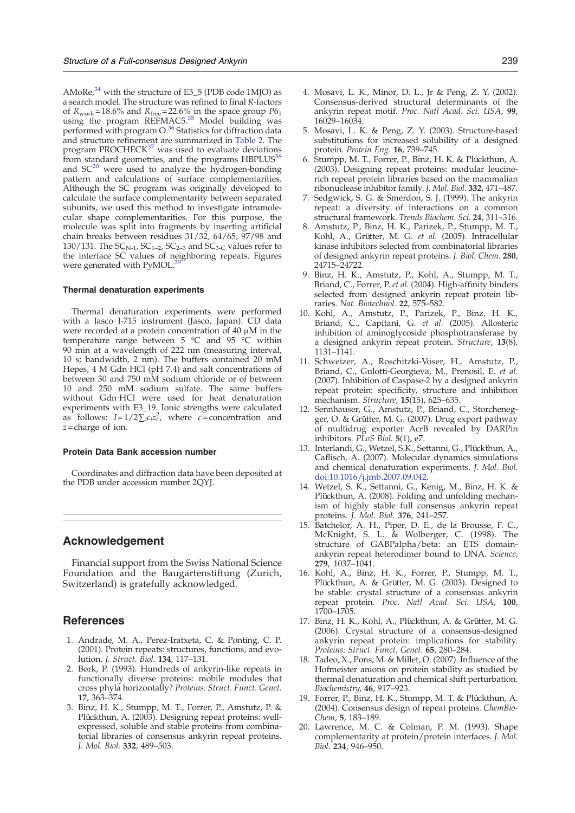<span id="page-7-0"></span>AMoRe, $34$  with the structure of E3\_5 (PDB code 1MJO) as a search model. The structure was refined to final R-factors of  $R_{work} = 18.6\%$  and  $R_{free} = 22.6\%$  in the space group  $P6<sub>1</sub>$ using the program  $REFMAC5<sup>35</sup>$  $REFMAC5<sup>35</sup>$  $REFMAC5<sup>35</sup>$  Model building was performed with program  $O^{36}$  $O^{36}$  $O^{36}$  Statistics for diffraction data and structure refinement are summarized in [Table 2](#page-6-0). The program PROCHEC $K^{37}$  $K^{37}$  $K^{37}$  was used to evaluate deviations from standard geometries, and the programs HBPLUS<sup>[38](#page-8-0)</sup> and  $SC^{20}$  were used to analyze the hydrogen-bonding pattern and calculations of surface complementarities. Although the SC program was originally developed to calculate the surface complementarity between separated subunits, we used this method to investigate intramolecular shape complementarities. For this purpose, the molecule was split into fragments by inserting artificial chain breaks between residues 31/32, 64/65, 97/98 and 130/131. The  $SC_{N-1}$ ,  $SC_{1-2}$ ,  $SC_{2-3}$  and  $SC_{3-C}$  values refer to the interface SC values of neighboring repeats. Figures were generated with PyMOL.

#### Thermal denaturation experiments

Thermal denaturation experiments were performed with a Jasco J-715 instrument (Jasco, Japan). CD data were recorded at a protein concentration of 40 μM in the temperature range between 5 °C and 95 °C within 90 min at a wavelength of 222 nm (measuring interval, 10 s; bandwidth, 2 nm). The buffers contained 20 mM Hepes, 4 M Gdn·HCl (pH 7.4) and salt concentrations of between 30 and 750 mM sodium chloride or of between 10 and 250 mM sodium sulfate. The same buffers without Gdn·HCl were used for heat denaturation experiments with E3\_19. Ionic strengths were calculated as follows:  $I=1/2\sum_{i}c_{i}z_{i}^{2}$ , where c=concentration and  $z =$ charge of ion.

#### Protein Data Bank accession number

Coordinates and diffraction data have been deposited at the PDB under accession number 2QYJ.

# Acknowledgement

Financial support from the Swiss National Science Foundation and the Baugartenstiftung (Zurich, Switzerland) is gratefully acknowledged.

# References

- 1. Andrade, M. A., Perez-Iratxeta, C. & Ponting, C. P. (2001). Protein repeats: structures, functions, and evolution. J. Struct. Biol. 134, 117–131.
- 2. Bork, P. (1993). Hundreds of ankyrin-like repeats in functionally diverse proteins: mobile modules that cross phyla horizontally? Proteins: Struct. Funct. Genet. 17, 363–374.
- 3. Binz, H. K., Stumpp, M. T., Forrer, P., Amstutz, P. & Plückthun, A. (2003). Designing repeat proteins: wellexpressed, soluble and stable proteins from combinatorial libraries of consensus ankyrin repeat proteins. J. Mol. Biol. 332, 489–503.
- 4. Mosavi, L. K., Minor, D. L., Jr & Peng, Z. Y. (2002). Consensus-derived structural determinants of the ankyrin repeat motif. Proc. Natl Acad. Sci. USA, 99, 16029–16034.
- 5. Mosavi, L. K. & Peng, Z. Y. (2003). Structure-based substitutions for increased solubility of a designed protein. Protein Eng. 16, 739-745.
- 6. Stumpp, M. T., Forrer, P., Binz, H. K. & Plückthun, A. (2003). Designing repeat proteins: modular leucinerich repeat protein libraries based on the mammalian ribonuclease inhibitor family. J. Mol. Biol. 332, 471–487.
- 7. Sedgwick, S. G. & Smerdon, S. J. (1999). The ankyrin repeat: a diversity of interactions on a common structural framework. Trends Biochem. Sci. 24, 311–316.
- 8. Amstutz, P., Binz, H. K., Parizek, P., Stumpp, M. T., Kohl, A., Grütter, M. G. et al. (2005). Intracellular kinase inhibitors selected from combinatorial libraries of designed ankyrin repeat proteins. J. Biol. Chem. 280, 24715–24722.
- 9. Binz, H. K., Amstutz, P., Kohl, A., Stumpp, M. T., Briand, C., Forrer, P. et al. (2004). High-affinity binders selected from designed ankyrin repeat protein libraries. Nat. Biotechnol. 22, 575–582.
- 10. Kohl, A., Amstutz, P., Parizek, P., Binz, H. K., Briand, C., Capitani, G. et al. (2005). Allosteric inhibition of aminoglycoside phosphotransferase by a designed ankyrin repeat protein. Structure, 13(8), 1131–1141.
- 11. Schweizer, A., Roschitzki-Voser, H., Amstutz, P., Briand, C., Gulotti-Georgieva, M., Prenosil, E. et al. (2007). Inhibition of Caspase-2 by a designed ankyrin repeat protein: specificity, structure and inhibition mechanism. Structure, 15(15), 625–635.
- 12. Sennhauser, G., Amstutz, P., Briand, C., Storchenegger, O. & Grütter, M. G. (2007). Drug export pathway of multidrug exporter AcrB revealed by DARPin inhibitors.  $P\overline{L}oS$   $\overline{B}iol.$  5(1), e7.
- 13. Interlandi, G., Wetzel, S.K., Settanni, G., Plückthun, A., Caflisch, A. (2007). Molecular dynamics simulations and chemical denaturation experiments. J. Mol. Biol. doi:10.1016/j.jmb.2007.09.042.
- 14. Wetzel, S. K., Settanni, G., Kenig, M., Binz, H. K. & Plückthun, A. (2008). Folding and unfolding mechanism of highly stable full consensus ankyrin repeat proteins. J. Mol. Biol. 376, 241–257.
- 15. Batchelor, A. H., Piper, D. E., de la Brousse, F. C., McKnight, S. L. & Wolberger, C. (1998). The structure of GABPalpha/beta: an ETS domainankyrin repeat heterodimer bound to DNA. Science, 279, 1037–1041.
- 16. Kohl, A., Binz, H. K., Forrer, P., Stumpp, M. T., Plückthun, A. & Grütter, M. G. (2003). Designed to be stable: crystal structure of a consensus ankyrin repeat protein. Proc. Natl Acad. Sci. USA, 100, 1700–1705.
- 17. Binz, H. K., Kohl, A., Plückthun, A. & Grütter, M. G. (2006). Crystal structure of a consensus-designed ankyrin repeat protein: implications for stability. Proteins: Struct. Funct. Genet. 65, 280–284.
- 18. Tadeo, X., Pons, M. & Millet, O. (2007). Influence of the Hofmeister anions on protein stability as studied by thermal denaturation and chemical shift perturbation. Biochemistry, 46, 917–923.
- 19. Forrer, P., Binz, H. K., Stumpp, M. T. & Plückthun, A. (2004). Consensus design of repeat proteins. ChemBio-Chem, 5, 183–189.
- 20. Lawrence, M. C. & Colman, P. M. (1993). Shape complementarity at protein/protein interfaces. J. Mol. Biol. 234, 946–950.